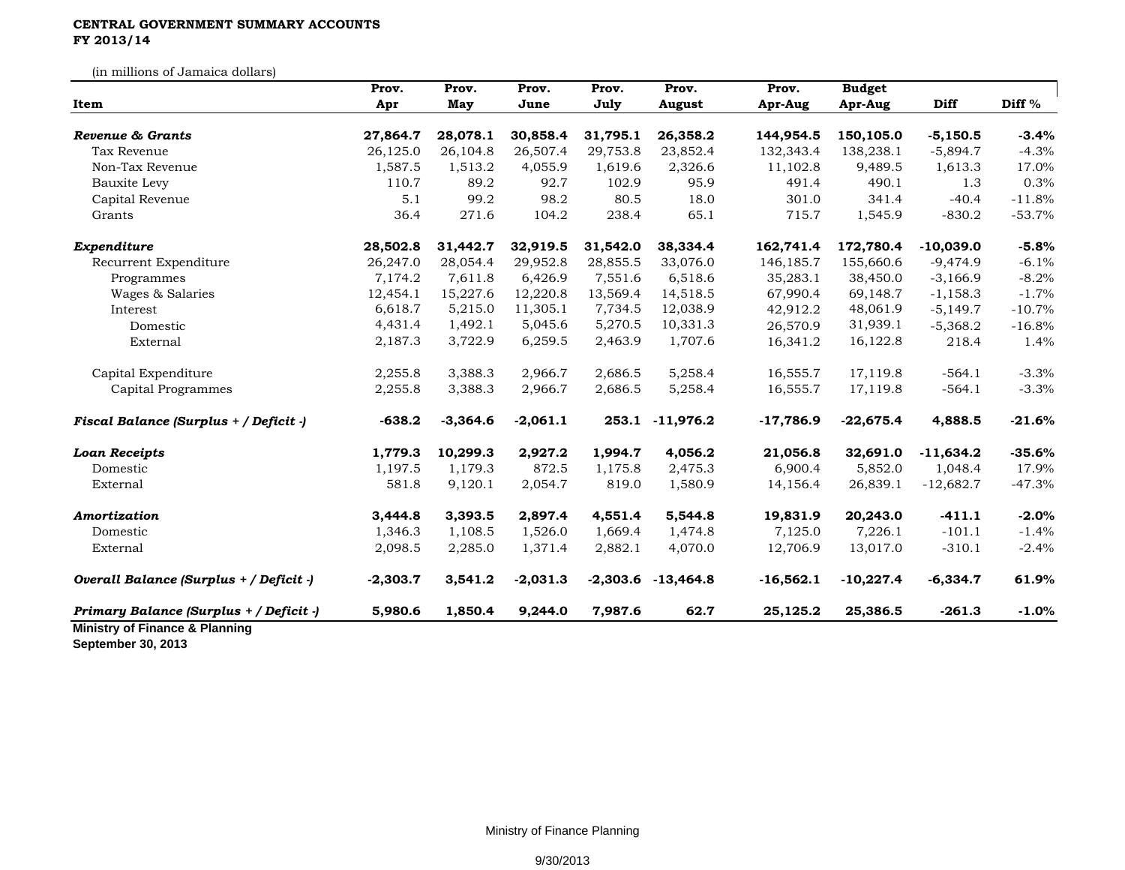## **CENTRAL GOVERNMENT SUMMARY ACCOUNTS FY 2013/14**

(in millions of Jamaica dollars)

| Item                                    | Prov.<br>Apr | Prov.<br>May | Prov.<br>June | Prov.<br>July | Prov.<br><b>August</b> | Prov.<br>Apr-Aug | <b>Budget</b><br>Apr-Aug | Diff        | Diff %   |
|-----------------------------------------|--------------|--------------|---------------|---------------|------------------------|------------------|--------------------------|-------------|----------|
|                                         |              |              |               |               |                        |                  |                          |             |          |
| Tax Revenue                             | 26,125.0     | 26,104.8     | 26,507.4      | 29,753.8      | 23,852.4               | 132,343.4        | 138,238.1                | $-5,894.7$  | $-4.3%$  |
| Non-Tax Revenue                         | 1,587.5      | 1,513.2      | 4,055.9       | 1,619.6       | 2,326.6                | 11,102.8         | 9,489.5                  | 1,613.3     | 17.0%    |
| <b>Bauxite Levy</b>                     | 110.7        | 89.2         | 92.7          | 102.9         | 95.9                   | 491.4            | 490.1                    | 1.3         | 0.3%     |
| Capital Revenue                         | 5.1          | 99.2         | 98.2          | 80.5          | 18.0                   | 301.0            | 341.4                    | $-40.4$     | $-11.8%$ |
| Grants                                  | 36.4         | 271.6        | 104.2         | 238.4         | 65.1                   | 715.7            | 1,545.9                  | $-830.2$    | $-53.7%$ |
| Expenditure                             | 28,502.8     | 31,442.7     | 32,919.5      | 31,542.0      | 38,334.4               | 162,741.4        | 172,780.4                | $-10,039.0$ | $-5.8%$  |
| Recurrent Expenditure                   | 26,247.0     | 28,054.4     | 29,952.8      | 28,855.5      | 33,076.0               | 146, 185. 7      | 155,660.6                | $-9,474.9$  | $-6.1%$  |
| Programmes                              | 7,174.2      | 7,611.8      | 6,426.9       | 7,551.6       | 6,518.6                | 35,283.1         | 38,450.0                 | $-3,166.9$  | $-8.2%$  |
| Wages & Salaries                        | 12,454.1     | 15,227.6     | 12,220.8      | 13,569.4      | 14,518.5               | 67,990.4         | 69,148.7                 | $-1,158.3$  | $-1.7%$  |
| Interest                                | 6,618.7      | 5,215.0      | 11,305.1      | 7,734.5       | 12,038.9               | 42,912.2         | 48,061.9                 | $-5,149.7$  | $-10.7%$ |
| Domestic                                | 4,431.4      | 1,492.1      | 5,045.6       | 5,270.5       | 10,331.3               | 26,570.9         | 31,939.1                 | $-5,368.2$  | $-16.8%$ |
| External                                | 2,187.3      | 3,722.9      | 6,259.5       | 2,463.9       | 1,707.6                | 16,341.2         | 16,122.8                 | 218.4       | 1.4%     |
| Capital Expenditure                     | 2,255.8      | 3,388.3      | 2,966.7       | 2,686.5       | 5,258.4                | 16,555.7         | 17,119.8                 | $-564.1$    | $-3.3%$  |
| Capital Programmes                      | 2,255.8      | 3,388.3      | 2,966.7       | 2,686.5       | 5,258.4                | 16,555.7         | 17,119.8                 | $-564.1$    | $-3.3%$  |
| Fiscal Balance (Surplus + / Deficit -)  | $-638.2$     | $-3,364.6$   | $-2,061.1$    | 253.1         | $-11,976.2$            | $-17,786.9$      | $-22,675.4$              | 4,888.5     | $-21.6%$ |
| <b>Loan Receipts</b>                    | 1,779.3      | 10,299.3     | 2,927.2       | 1,994.7       | 4,056.2                | 21,056.8         | 32,691.0                 | $-11,634.2$ | $-35.6%$ |
| Domestic                                | 1,197.5      | 1,179.3      | 872.5         | 1,175.8       | 2,475.3                | 6,900.4          | 5,852.0                  | 1,048.4     | 17.9%    |
| External                                | 581.8        | 9,120.1      | 2,054.7       | 819.0         | 1,580.9                | 14,156.4         | 26,839.1                 | $-12,682.7$ | $-47.3%$ |
| Amortization                            | 3,444.8      | 3,393.5      | 2,897.4       | 4,551.4       | 5,544.8                | 19,831.9         | 20,243.0                 | $-411.1$    | $-2.0%$  |
| Domestic                                | 1,346.3      | 1,108.5      | 1,526.0       | 1,669.4       | 1,474.8                | 7,125.0          | 7,226.1                  | $-101.1$    | $-1.4%$  |
| External                                | 2,098.5      | 2,285.0      | 1,371.4       | 2,882.1       | 4,070.0                | 12,706.9         | 13,017.0                 | $-310.1$    | $-2.4%$  |
| Overall Balance (Surplus + / Deficit -) | $-2,303.7$   | 3,541.2      | $-2,031.3$    | $-2,303.6$    | $-13,464.8$            | $-16,562.1$      | $-10,227.4$              | $-6,334.7$  | 61.9%    |
| Primary Balance (Surplus + / Deficit -) | 5,980.6      | 1,850.4      | 9,244.0       | 7,987.6       | 62.7                   | 25,125.2         | 25,386.5                 | $-261.3$    | $-1.0%$  |

**September 30, 2013**

Ministry of Finance Planning